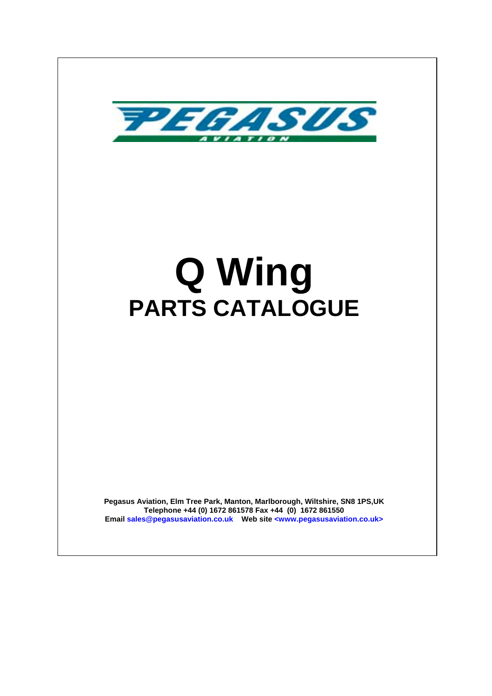

# **Q Wing PARTS CATALOGUE**

**Pegasus Aviation, Elm Tree Park, Manton, Marlborough, Wiltshire, SN8 1PS,UK Telephone +44 (0) 1672 861578 Fax +44 (0) 1672 861550 Email sales@pegasusaviation.co.uk Web site <www.pegasusaviation.co.uk>**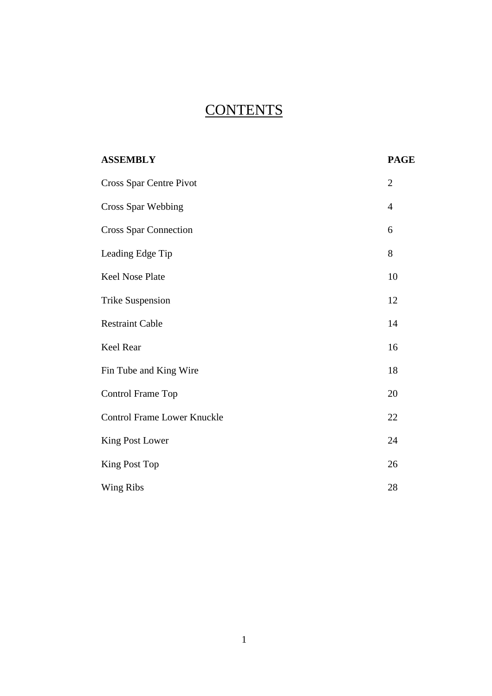# **CONTENTS**

| <b>ASSEMBLY</b>                    | <b>PAGE</b>    |
|------------------------------------|----------------|
| Cross Spar Centre Pivot            | $\overline{2}$ |
| <b>Cross Spar Webbing</b>          | $\overline{4}$ |
| <b>Cross Spar Connection</b>       | 6              |
| Leading Edge Tip                   | 8              |
| Keel Nose Plate                    | 10             |
| <b>Trike Suspension</b>            | 12             |
| <b>Restraint Cable</b>             | 14             |
| Keel Rear                          | 16             |
| Fin Tube and King Wire             | 18             |
| Control Frame Top                  | 20             |
| <b>Control Frame Lower Knuckle</b> | 22             |
| King Post Lower                    | 24             |
| King Post Top                      | 26             |
| Wing Ribs                          | 28             |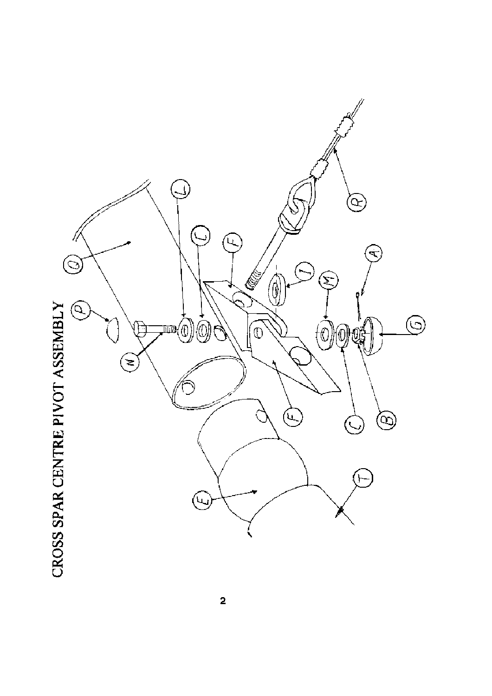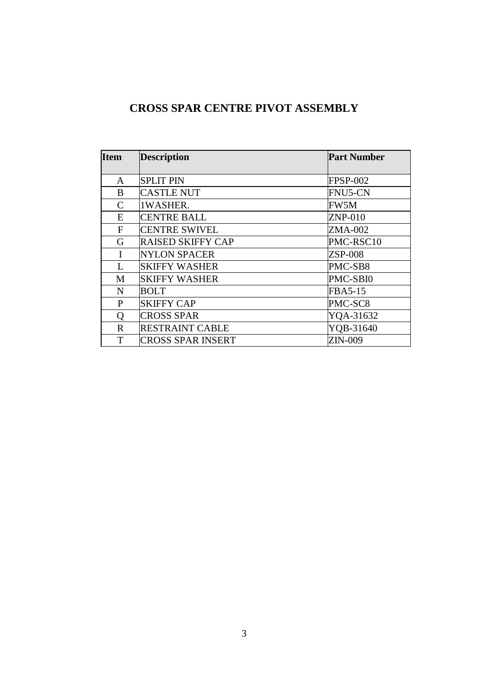#### **CROSS SPAR CENTRE PIVOT ASSEMBLY**

| <b>Item</b>   | <b>Description</b>       | <b>Part Number</b> |
|---------------|--------------------------|--------------------|
| A             | <b>SPLIT PIN</b>         | <b>FPSP-002</b>    |
| B             | <b>CASTLE NUT</b>        | <b>FNU5-CN</b>     |
| $\mathcal{C}$ | 1WASHER.                 | FW5M               |
| E             | <b>CENTRE BALL</b>       | $ZNP-010$          |
| $\mathbf{F}$  | <b>CENTRE SWIVEL</b>     | ZMA-002            |
| G             | <b>RAISED SKIFFY CAP</b> | PMC-RSC10          |
| I             | <b>NYLON SPACER</b>      | <b>ZSP-008</b>     |
| L             | <b>SKIFFY WASHER</b>     | PMC-SB8            |
| M             | <b>SKIFFY WASHER</b>     | PMC-SBI0           |
| N             | <b>BOLT</b>              | FBA5-15            |
| P             | <b>SKIFFY CAP</b>        | PMC-SC8            |
| Q             | <b>CROSS SPAR</b>        | YQA-31632          |
| $\mathbf R$   | <b>RESTRAINT CABLE</b>   | YQB-31640          |
| T             | <b>CROSS SPAR INSERT</b> | <b>ZIN-009</b>     |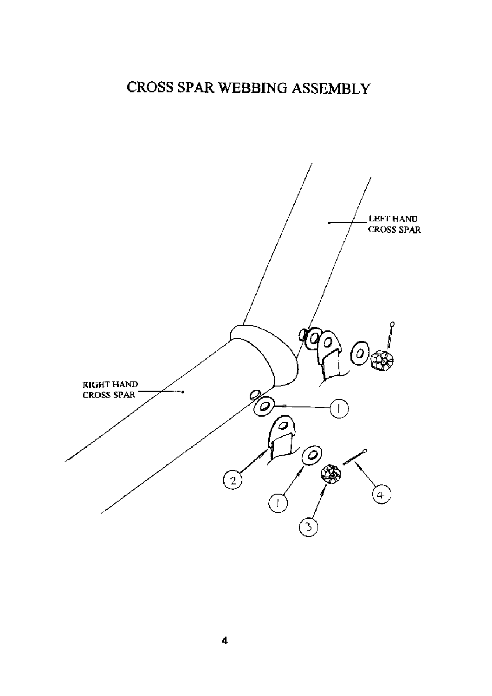#### CROSS SPAR WEBBING ASSEMBLY

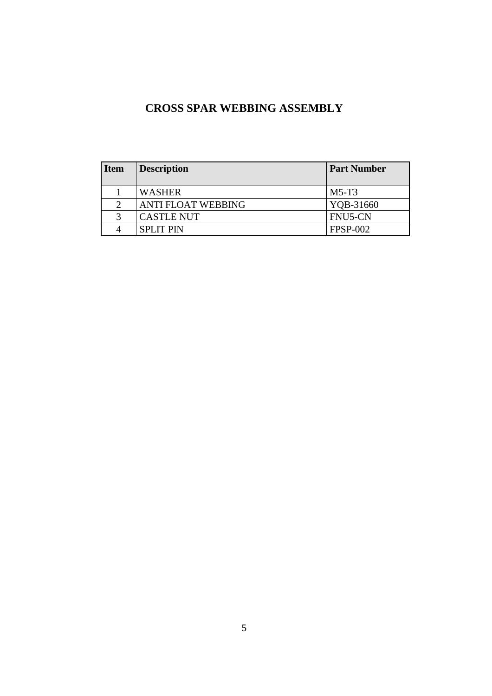#### **CROSS SPAR WEBBING ASSEMBLY**

| <b>Item</b>   | <b>Description</b>        | <b>Part Number</b> |
|---------------|---------------------------|--------------------|
|               | <b>WASHER</b>             | $M5-T3$            |
| $\mathcal{D}$ | <b>ANTI FLOAT WEBBING</b> | YQB-31660          |
|               | <b>CASTLE NUT</b>         | FNU5-CN            |
|               | <b>SPLIT PIN</b>          | <b>FPSP-002</b>    |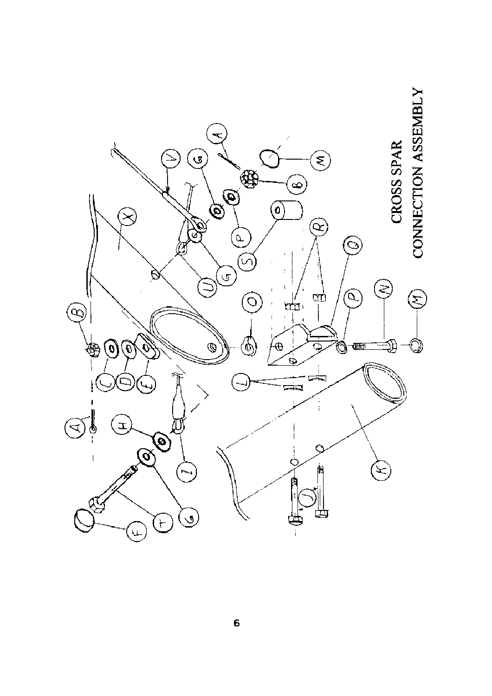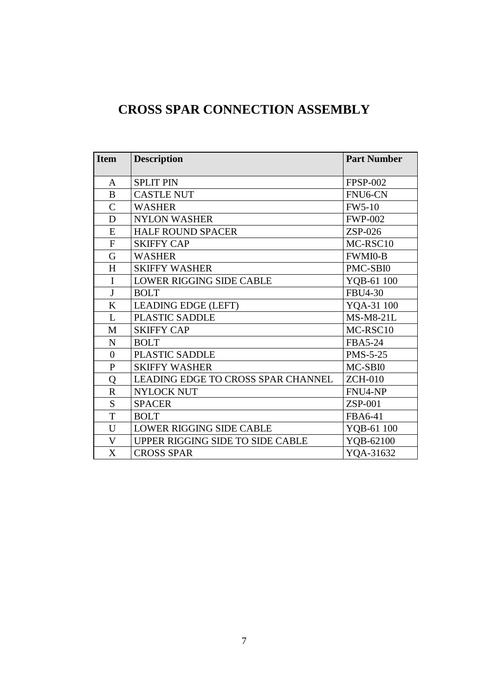#### **CROSS SPAR CONNECTION ASSEMBLY**

| <b>Item</b>    | <b>Description</b>                 | <b>Part Number</b>   |
|----------------|------------------------------------|----------------------|
| A              | <b>SPLIT PIN</b>                   | <b>FPSP-002</b>      |
| B              | <b>CASTLE NUT</b>                  | FNU <sub>6</sub> -CN |
| $\mathbf C$    | <b>WASHER</b>                      | <b>FW5-10</b>        |
| D              | <b>NYLON WASHER</b>                | <b>FWP-002</b>       |
| E              | <b>HALF ROUND SPACER</b>           | ZSP-026              |
| $\mathbf F$    | <b>SKIFFY CAP</b>                  | MC-RSC10             |
| G              | <b>WASHER</b>                      | <b>FWMI0-B</b>       |
| H              | <b>SKIFFY WASHER</b>               | PMC-SBI0             |
| $\mathbf I$    | <b>LOWER RIGGING SIDE CABLE</b>    | YQB-61 100           |
| J              | <b>BOLT</b>                        | <b>FBU4-30</b>       |
| K              | <b>LEADING EDGE (LEFT)</b>         | YQA-31 100           |
| L              | PLASTIC SADDLE                     | <b>MS-M8-21L</b>     |
| M              | <b>SKIFFY CAP</b>                  | MC-RSC10             |
| $\mathbf N$    | <b>BOLT</b>                        | <b>FBA5-24</b>       |
| $\overline{0}$ | PLASTIC SADDLE                     | <b>PMS-5-25</b>      |
| $\mathbf{P}$   | <b>SKIFFY WASHER</b>               | MC-SBI0              |
| Q              | LEADING EDGE TO CROSS SPAR CHANNEL | <b>ZCH-010</b>       |
| $\mathbf R$    | <b>NYLOCK NUT</b>                  | FNU4-NP              |
| S.             | <b>SPACER</b>                      | <b>ZSP-001</b>       |
| $\mathbf T$    | <b>BOLT</b>                        | FBA6-41              |
| U              | <b>LOWER RIGGING SIDE CABLE</b>    | YQB-61 100           |
| V              | UPPER RIGGING SIDE TO SIDE CABLE   | YQB-62100            |
| X              | <b>CROSS SPAR</b>                  | YQA-31632            |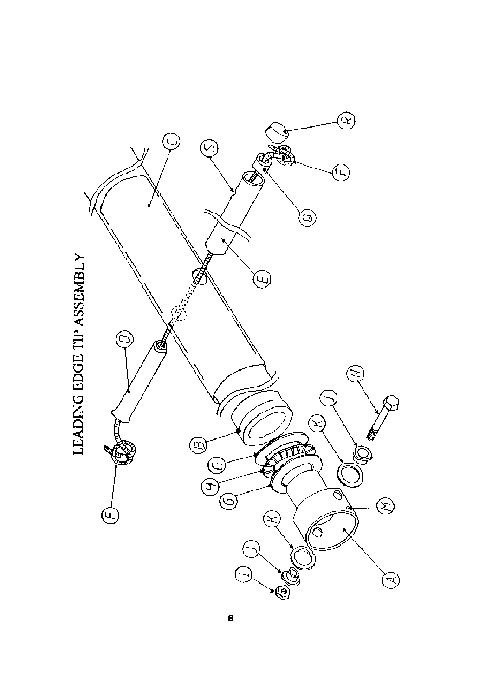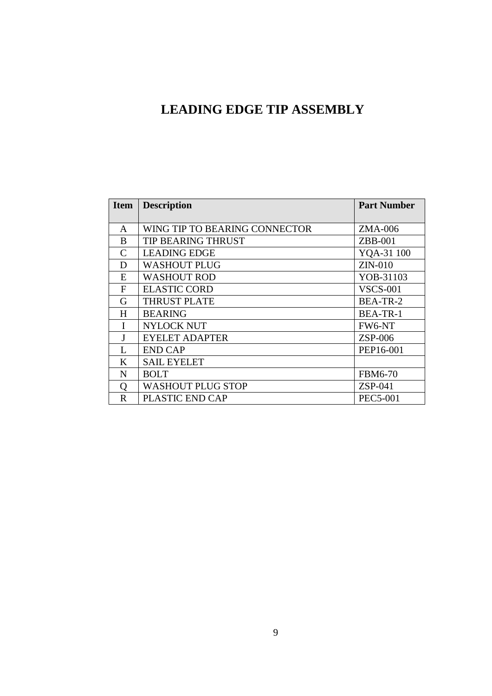#### **LEADING EDGE TIP ASSEMBLY**

| <b>Item</b>       | <b>Description</b>            | <b>Part Number</b> |
|-------------------|-------------------------------|--------------------|
|                   |                               |                    |
| A                 | WING TIP TO BEARING CONNECTOR | ZMA-006            |
| <sub>B</sub>      | <b>TIP BEARING THRUST</b>     | $ZBB-001$          |
| C                 | <b>LEADING EDGE</b>           | YQA-31 100         |
| D                 | <b>WASHOUT PLUG</b>           | $ZIN-010$          |
| E                 | <b>WASHOUT ROD</b>            | YOB-31103          |
| F                 | <b>ELASTIC CORD</b>           | <b>VSCS-001</b>    |
| G                 | <b>THRUST PLATE</b>           | BEA-TR-2           |
| H                 | <b>BEARING</b>                | <b>BEA-TR-1</b>    |
|                   | <b>NYLOCK NUT</b>             | FW6-NT             |
|                   | <b>EYELET ADAPTER</b>         | $ZSP-006$          |
| L                 | <b>END CAP</b>                | PEP16-001          |
| K                 | <b>SAIL EYELET</b>            |                    |
| N                 | <b>BOLT</b>                   | <b>FBM6-70</b>     |
| $\mathbf{\Omega}$ | <b>WASHOUT PLUG STOP</b>      | $ZSP-041$          |
| $\mathbf R$       | PLASTIC END CAP               | <b>PEC5-001</b>    |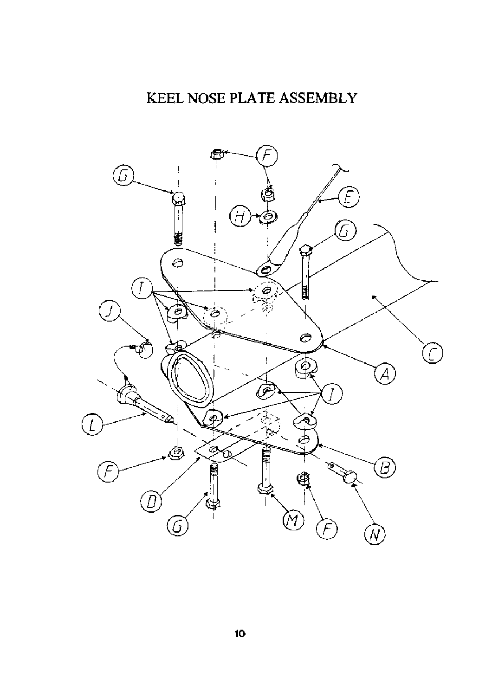# KEEL NOSE PLATE ASSEMBLY

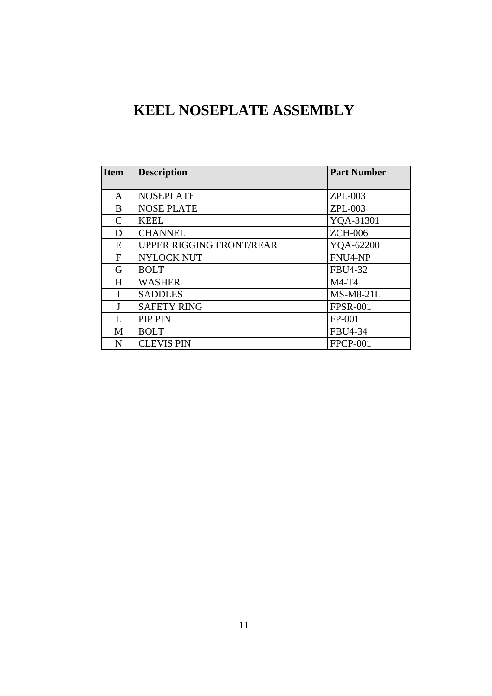## **KEEL NOSEPLATE ASSEMBLY**

| <b>Item</b> | <b>Description</b>              | <b>Part Number</b> |
|-------------|---------------------------------|--------------------|
|             |                                 |                    |
| A           | <b>NOSEPLATE</b>                | $ZPL-003$          |
| B           | <b>NOSE PLATE</b>               | <b>ZPL-003</b>     |
| C           | <b>KEEL</b>                     | YQA-31301          |
| D           | <b>CHANNEL</b>                  | <b>ZCH-006</b>     |
| E           | <b>UPPER RIGGING FRONT/REAR</b> | YQA-62200          |
| F           | <b>NYLOCK NUT</b>               | FNU4-NP            |
| G           | <b>BOLT</b>                     | FBU4-32            |
| H           | <b>WASHER</b>                   | $M4-T4$            |
| I           | <b>SADDLES</b>                  | <b>MS-M8-21L</b>   |
|             | <b>SAFETY RING</b>              | <b>FPSR-001</b>    |
| L           | <b>PIP PIN</b>                  | $FP-001$           |
| M           | <b>BOLT</b>                     | FBU4-34            |
| N           | <b>CLEVIS PIN</b>               | <b>FPCP-001</b>    |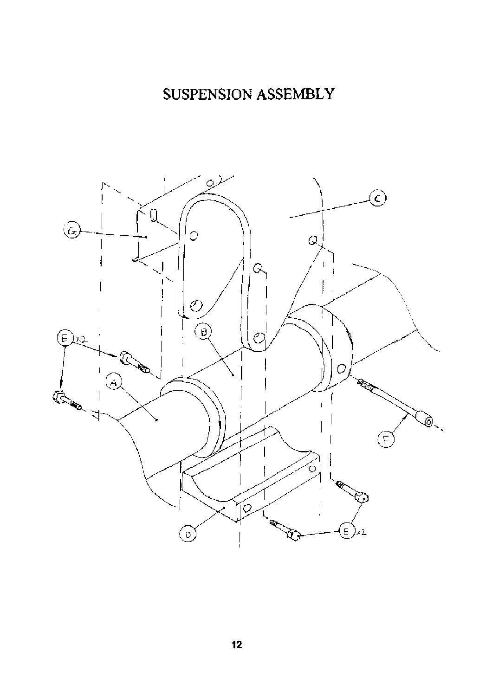# SUSPENSION ASSEMBLY

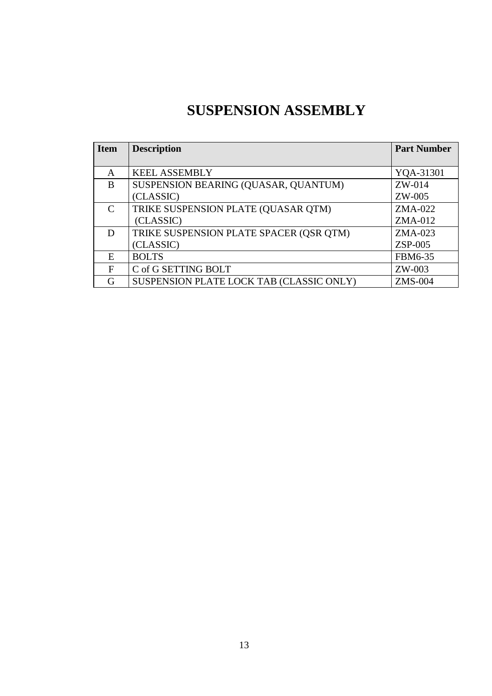### **SUSPENSION ASSEMBLY**

| <b>Item</b>                 | <b>Description</b>                       | <b>Part Number</b> |
|-----------------------------|------------------------------------------|--------------------|
|                             |                                          |                    |
| A                           | <b>KEEL ASSEMBLY</b>                     | YQA-31301          |
| B                           | SUSPENSION BEARING (QUASAR, QUANTUM)     | $ZW-014$           |
|                             | (CLASSIC)                                | ZW-005             |
| $\mathcal{C}_{\mathcal{C}}$ | TRIKE SUSPENSION PLATE (QUASAR QTM)      | $ZMA-022$          |
|                             | (CLASSIC)                                | $ZMA-012$          |
| D                           | TRIKE SUSPENSION PLATE SPACER (QSR QTM)  | $ZMA-023$          |
|                             | (CLASSIC)                                | $ZSP-005$          |
| E                           | <b>BOLTS</b>                             | FBM6-35            |
| F                           | C of G SETTING BOLT                      | ZW-003             |
| G                           | SUSPENSION PLATE LOCK TAB (CLASSIC ONLY) | <b>ZMS-004</b>     |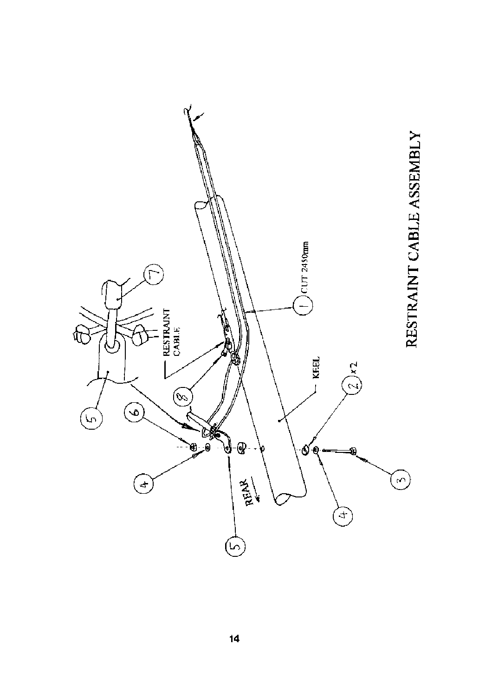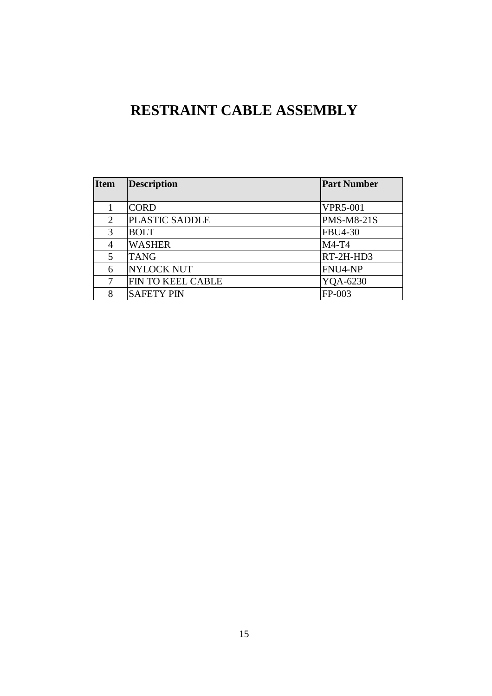## **RESTRAINT CABLE ASSEMBLY**

| <b>Item</b>    | <b>Description</b> | <b>Part Number</b> |
|----------------|--------------------|--------------------|
|                |                    |                    |
|                | <b>CORD</b>        | <b>VPR5-001</b>    |
| $\overline{2}$ | PLASTIC SADDLE     | <b>PMS-M8-21S</b>  |
| 3              | <b>BOLT</b>        | <b>FBU4-30</b>     |
| 4              | <b>WASHER</b>      | $M4-T4$            |
| 5              | <b>TANG</b>        | RT-2H-HD3          |
| 6              | <b>NYLOCK NUT</b>  | FNU4-NP            |
| 7              | FIN TO KEEL CABLE  | YQA-6230           |
| 8              | <b>SAFETY PIN</b>  | $FP-003$           |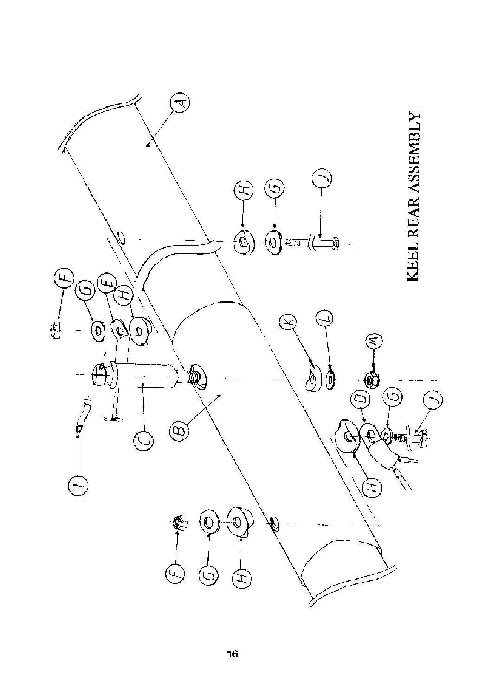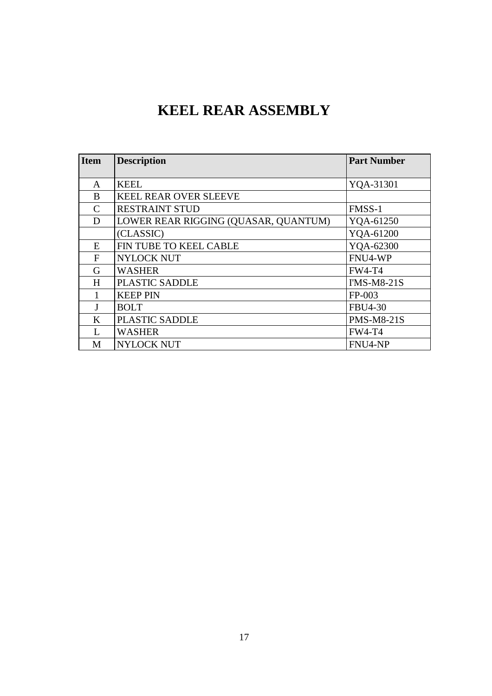## **KEEL REAR ASSEMBLY**

| <b>Item</b> | <b>Description</b>                   | <b>Part Number</b> |
|-------------|--------------------------------------|--------------------|
|             |                                      |                    |
| A           | <b>KEEL</b>                          | YQA-31301          |
| B           | <b>KEEL REAR OVER SLEEVE</b>         |                    |
| C           | <b>RESTRAINT STUD</b>                | FMSS-1             |
| D           | LOWER REAR RIGGING (QUASAR, QUANTUM) | YQA-61250          |
|             | (CLASSIC)                            | YQA-61200          |
| E           | FIN TUBE TO KEEL CABLE               | YQA-62300          |
| F           | <b>NYLOCK NUT</b>                    | FNU4-WP            |
| G           | <b>WASHER</b>                        | <b>FW4-T4</b>      |
| H           | PLASTIC SADDLE                       | I'MS-M8-21S        |
|             | <b>KEEP PIN</b>                      | FP-003             |
| J           | <b>BOLT</b>                          | <b>FBU4-30</b>     |
| K           | PLASTIC SADDLE                       | <b>PMS-M8-21S</b>  |
|             | <b>WASHER</b>                        | <b>FW4-T4</b>      |
| M           | <b>NYLOCK NUT</b>                    | FNU4-NP            |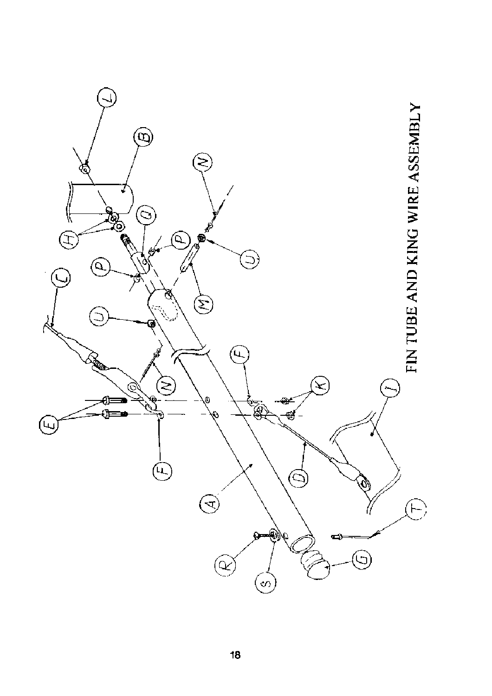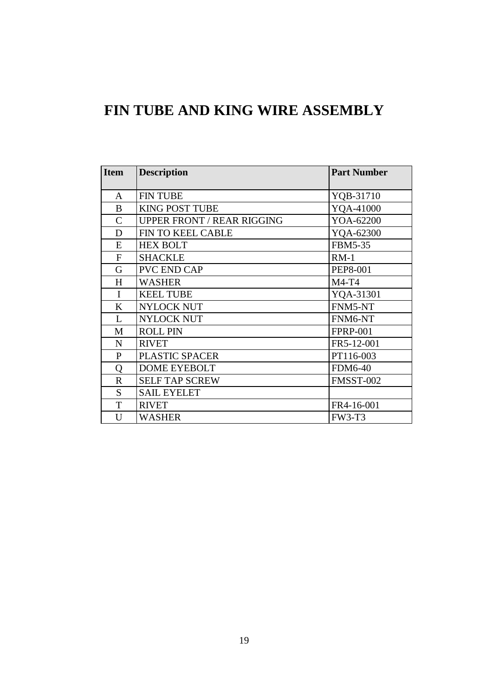### **FIN TUBE AND KING WIRE ASSEMBLY**

| <b>Item</b>  | <b>Description</b>                | <b>Part Number</b> |
|--------------|-----------------------------------|--------------------|
| A            | <b>FIN TUBE</b>                   | YQB-31710          |
| B            | <b>KING POST TUBE</b>             | YQA-41000          |
| $\mathsf{C}$ | <b>UPPER FRONT / REAR RIGGING</b> | YOA-62200          |
| D            | FIN TO KEEL CABLE                 | YQA-62300          |
| E            | <b>HEX BOLT</b>                   | <b>FBM5-35</b>     |
| $\mathbf F$  | <b>SHACKLE</b>                    | $RM-1$             |
| G            | PVC END CAP                       | <b>PEP8-001</b>    |
| H            | <b>WASHER</b>                     | $M4-T4$            |
| $\mathbf{I}$ | <b>KEEL TUBE</b>                  | YQA-31301          |
| K            | <b>NYLOCK NUT</b>                 | FNM5-NT            |
| L            | <b>NYLOCK NUT</b>                 | FNM6-NT            |
| M            | <b>ROLL PIN</b>                   | <b>FPRP-001</b>    |
| $\mathbf N$  | <b>RIVET</b>                      | FR5-12-001         |
| $\mathbf{P}$ | PLASTIC SPACER                    | PT116-003          |
| Q            | <b>DOME EYEBOLT</b>               | <b>FDM6-40</b>     |
| $\mathbf R$  | <b>SELF TAP SCREW</b>             | FMSST-002          |
| S            | <b>SAIL EYELET</b>                |                    |
| T            | <b>RIVET</b>                      | FR4-16-001         |
| U            | <b>WASHER</b>                     | <b>FW3-T3</b>      |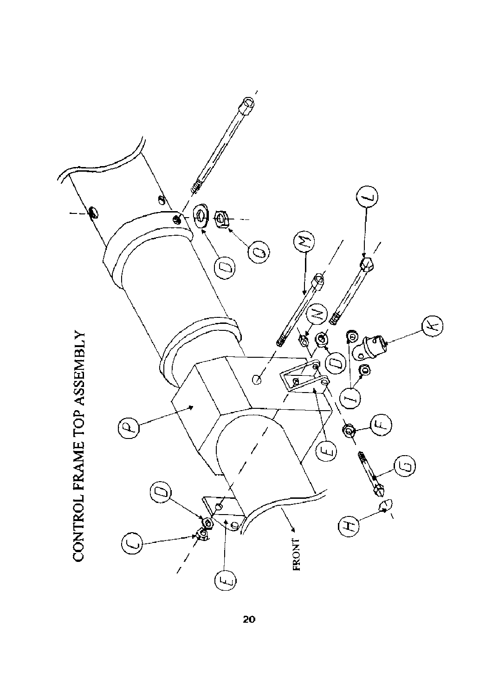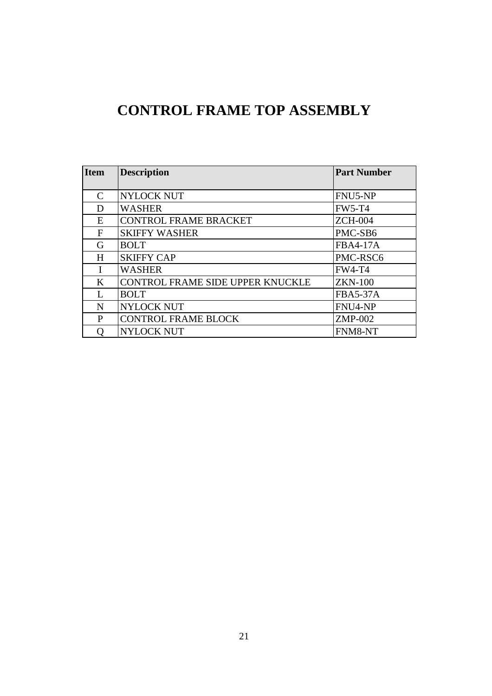# **CONTROL FRAME TOP ASSEMBLY**

| <b>Item</b>                 | <b>Description</b>               | <b>Part Number</b> |
|-----------------------------|----------------------------------|--------------------|
|                             |                                  |                    |
| $\mathcal{C}_{\mathcal{C}}$ | <b>NYLOCK NUT</b>                | FNU5-NP            |
| D                           | <b>WASHER</b>                    | <b>FW5-T4</b>      |
| E                           | <b>CONTROL FRAME BRACKET</b>     | <b>ZCH-004</b>     |
| F                           | <b>SKIFFY WASHER</b>             | PMC-SB6            |
| G                           | <b>BOLT</b>                      | <b>FBA4-17A</b>    |
| H                           | <b>SKIFFY CAP</b>                | PMC-RSC6           |
| I                           | <b>WASHER</b>                    | <b>FW4-T4</b>      |
| K                           | CONTROL FRAME SIDE UPPER KNUCKLE | <b>ZKN-100</b>     |
| L                           | <b>BOLT</b>                      | <b>FBA5-37A</b>    |
| N                           | <b>NYLOCK NUT</b>                | FNU4-NP            |
| P                           | <b>CONTROL FRAME BLOCK</b>       | <b>ZMP-002</b>     |
|                             | <b>NYLOCK NUT</b>                | FNM8-NT            |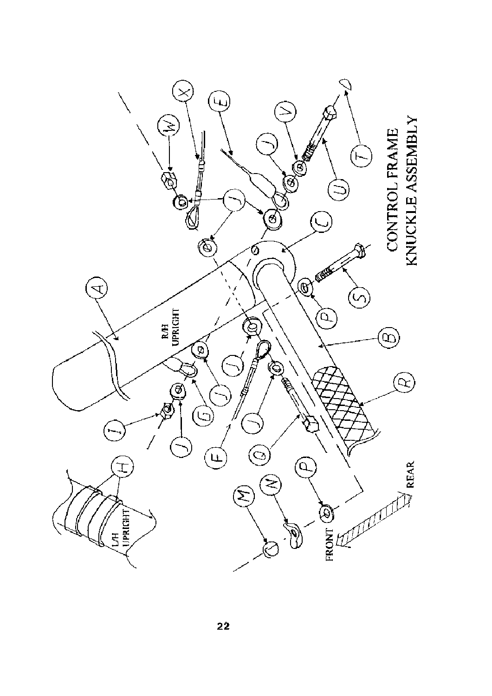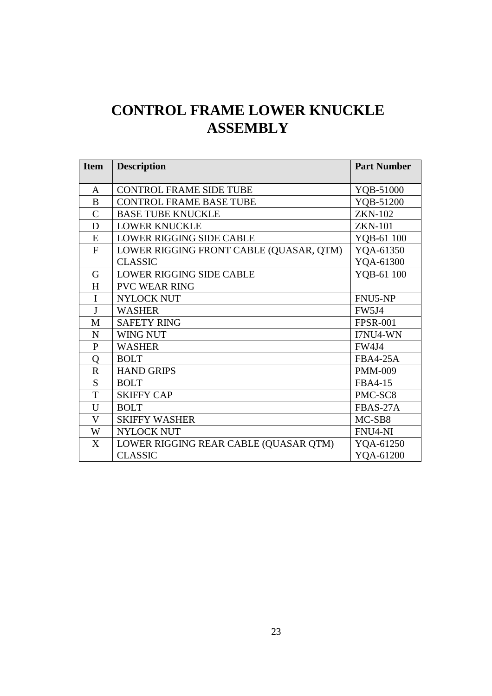# **CONTROL FRAME LOWER KNUCKLE ASSEMBLY**

| <b>Item</b>   | <b>Description</b>                      | <b>Part Number</b>  |
|---------------|-----------------------------------------|---------------------|
|               |                                         |                     |
| A             | <b>CONTROL FRAME SIDE TUBE</b>          | YQB-51000           |
| B             | <b>CONTROL FRAME BASE TUBE</b>          | YQB-51200           |
| $\mathcal{C}$ | <b>BASE TUBE KNUCKLE</b>                | <b>ZKN-102</b>      |
| D             | <b>LOWER KNUCKLE</b>                    | <b>ZKN-101</b>      |
| E             | <b>LOWER RIGGING SIDE CABLE</b>         | YQB-61 100          |
| F             | LOWER RIGGING FRONT CABLE (QUASAR, QTM) | YQA-61350           |
|               | <b>CLASSIC</b>                          | YQA-61300           |
| $\mathsf G$   | <b>LOWER RIGGING SIDE CABLE</b>         | YQB-61 100          |
| H             | <b>PVC WEAR RING</b>                    |                     |
| I             | <b>NYLOCK NUT</b>                       | FNU5-NP             |
| J             | <b>WASHER</b>                           | <b>FW5J4</b>        |
| M             | <b>SAFETY RING</b>                      | <b>FPSR-001</b>     |
| N             | WING NUT                                | I7NU4-WN            |
| $\mathbf{P}$  | <b>WASHER</b>                           | <b>FW4J4</b>        |
| Q             | <b>BOLT</b>                             | <b>FBA4-25A</b>     |
| $\mathbf R$   | <b>HAND GRIPS</b>                       | <b>PMM-009</b>      |
| S             | <b>BOLT</b>                             | FBA4-15             |
| T             | <b>SKIFFY CAP</b>                       | PMC-SC <sub>8</sub> |
| U             | <b>BOLT</b>                             | FBAS-27A            |
| V             | <b>SKIFFY WASHER</b>                    | MC-SB8              |
| W             | NYLOCK NUT                              | FNU4-NI             |
| X             | LOWER RIGGING REAR CABLE (QUASAR QTM)   | YQA-61250           |
|               | <b>CLASSIC</b>                          | YQA-61200           |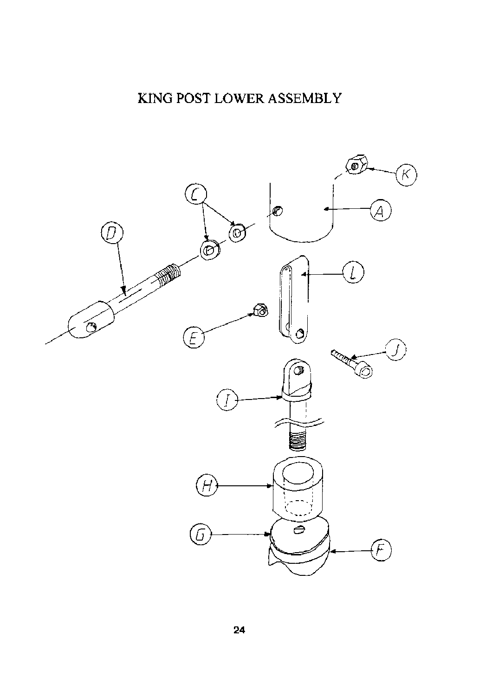## KING POST LOWER ASSEMBLY

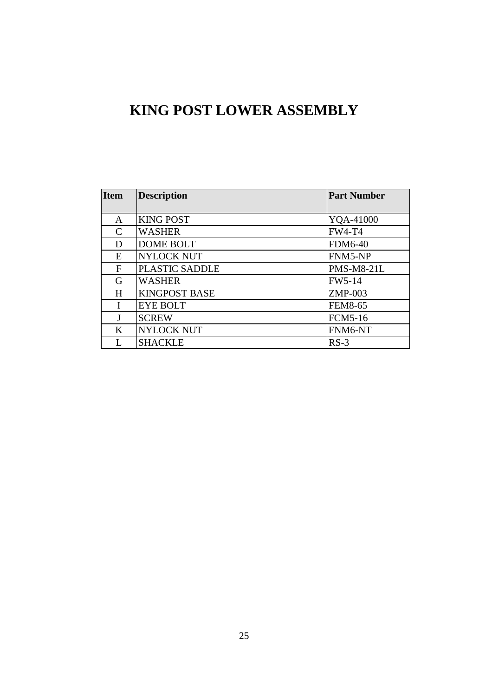## **KING POST LOWER ASSEMBLY**

| <b>Item</b>   | <b>Description</b>   | <b>Part Number</b> |
|---------------|----------------------|--------------------|
|               |                      |                    |
| A             | <b>KING POST</b>     | YQA-41000          |
| $\mathcal{C}$ | <b>WASHER</b>        | <b>FW4-T4</b>      |
| D             | <b>DOME BOLT</b>     | <b>FDM6-40</b>     |
| E             | <b>NYLOCK NUT</b>    | FNM5-NP            |
| F             | PLASTIC SADDLE       | <b>PMS-M8-21L</b>  |
| G             | <b>WASHER</b>        | <b>FW5-14</b>      |
| H             | <b>KINGPOST BASE</b> | ZMP-003            |
| T             | <b>EYE BOLT</b>      | <b>FEM8-65</b>     |
| J             | <b>SCREW</b>         | <b>FCM5-16</b>     |
| K             | <b>NYLOCK NUT</b>    | FNM6-NT            |
|               | <b>SHACKLE</b>       | $RS-3$             |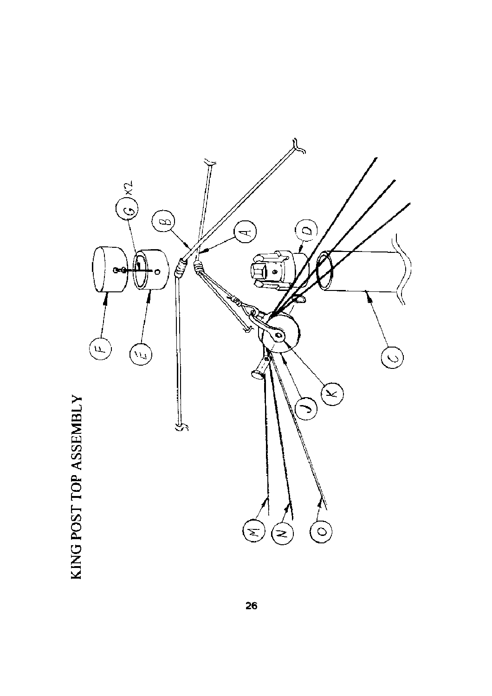